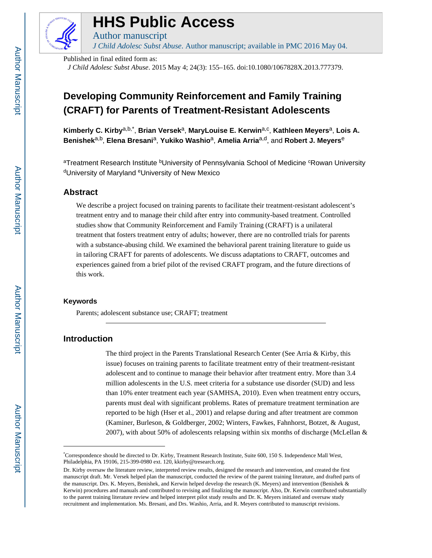

# **HHS Public Access**

*J Child Adolesc Subst Abuse*. Author manuscript; available in PMC 2016 May 04.

Published in final edited form as:

Author manuscript

*J Child Adolesc Subst Abuse*. 2015 May 4; 24(3): 155–165. doi:10.1080/1067828X.2013.777379.

## **Developing Community Reinforcement and Family Training (CRAFT) for Parents of Treatment-Resistant Adolescents**

**Kimberly C. Kirby**a,b,\* , **Brian Versek**a, **MaryLouise E. Kerwin**a,c , **Kathleen Meyers**a, **Lois A. Benishek**a,b, **Elena Bresani**a, **Yukiko Washio**a, **Amelia Arria**a,d, and **Robert J. Meyers**<sup>e</sup>

aTreatment Research Institute <sup>b</sup>University of Pennsylvania School of Medicine <sup>c</sup>Rowan University <sup>d</sup>University of Maryland eUniversity of New Mexico

## **Abstract**

We describe a project focused on training parents to facilitate their treatment-resistant adolescent's treatment entry and to manage their child after entry into community-based treatment. Controlled studies show that Community Reinforcement and Family Training (CRAFT) is a unilateral treatment that fosters treatment entry of adults; however, there are no controlled trials for parents with a substance-abusing child. We examined the behavioral parent training literature to guide us in tailoring CRAFT for parents of adolescents. We discuss adaptations to CRAFT, outcomes and experiences gained from a brief pilot of the revised CRAFT program, and the future directions of this work.

#### **Keywords**

Parents; adolescent substance use; CRAFT; treatment

## **Introduction**

The third project in the Parents Translational Research Center (See Arria & Kirby, this issue) focuses on training parents to facilitate treatment entry of their treatment-resistant adolescent and to continue to manage their behavior after treatment entry. More than 3.4 million adolescents in the U.S. meet criteria for a substance use disorder (SUD) and less than 10% enter treatment each year (SAMHSA, 2010). Even when treatment entry occurs, parents must deal with significant problems. Rates of premature treatment termination are reported to be high (Hser et al., 2001) and relapse during and after treatment are common (Kaminer, Burleson, & Goldberger, 2002; Winters, Fawkes, Fahnhorst, Botzet, & August, 2007), with about 50% of adolescents relapsing within six months of discharge (McLellan  $\&$ 

<sup>\*</sup>Correspondence should be directed to Dr. Kirby, Treatment Research Institute, Suite 600, 150 S. Independence Mall West, Philadelphia, PA 19106, 215-399-0980 ext. 120, kkirby@tresearch.org.

Dr. Kirby oversaw the literature review, interpreted review results, designed the research and intervention, and created the first manuscript draft. Mr. Versek helped plan the manuscript, conducted the review of the parent training literature, and drafted parts of the manuscript. Drs. K. Meyers, Benishek, and Kerwin helped develop the research (K. Meyers) and intervention (Benishek & Kerwin) procedures and manuals and contributed to revising and finalizing the manuscript. Also, Dr. Kerwin contributed substantially to the parent training literature review and helped interpret pilot study results and Dr. K. Meyers initiated and oversaw study recruitment and implementation. Ms. Bresani, and Drs. Washio, Arria, and R. Meyers contributed to manuscript revisions.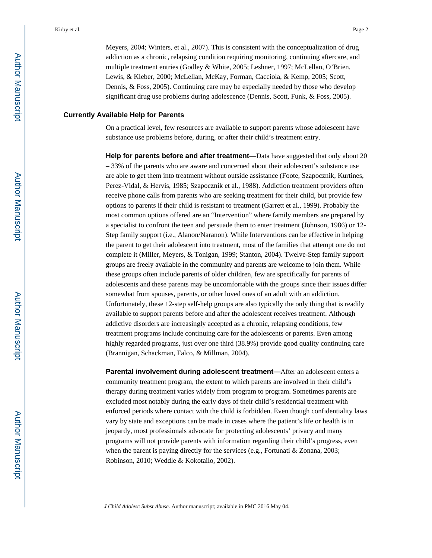Meyers, 2004; Winters, et al., 2007). This is consistent with the conceptualization of drug addiction as a chronic, relapsing condition requiring monitoring, continuing aftercare, and multiple treatment entries (Godley & White, 2005; Leshner, 1997; McLellan, O'Brien, Lewis, & Kleber, 2000; McLellan, McKay, Forman, Cacciola, & Kemp, 2005; Scott, Dennis, & Foss, 2005). Continuing care may be especially needed by those who develop significant drug use problems during adolescence (Dennis, Scott, Funk, & Foss, 2005).

#### **Currently Available Help for Parents**

On a practical level, few resources are available to support parents whose adolescent have substance use problems before, during, or after their child's treatment entry.

**Help for parents before and after treatment—**Data have suggested that only about 20 – 33% of the parents who are aware and concerned about their adolescent's substance use are able to get them into treatment without outside assistance (Foote, Szapocznik, Kurtines, Perez-Vidal, & Hervis, 1985; Szapocznik et al., 1988). Addiction treatment providers often receive phone calls from parents who are seeking treatment for their child, but provide few options to parents if their child is resistant to treatment (Garrett et al., 1999). Probably the most common options offered are an "Intervention" where family members are prepared by a specialist to confront the teen and persuade them to enter treatment (Johnson, 1986) or 12- Step family support (i.e., Alanon/Naranon). While Interventions can be effective in helping the parent to get their adolescent into treatment, most of the families that attempt one do not complete it (Miller, Meyers, & Tonigan, 1999; Stanton, 2004). Twelve-Step family support groups are freely available in the community and parents are welcome to join them. While these groups often include parents of older children, few are specifically for parents of adolescents and these parents may be uncomfortable with the groups since their issues differ somewhat from spouses, parents, or other loved ones of an adult with an addiction. Unfortunately, these 12-step self-help groups are also typically the only thing that is readily available to support parents before and after the adolescent receives treatment. Although addictive disorders are increasingly accepted as a chronic, relapsing conditions, few treatment programs include continuing care for the adolescents or parents. Even among highly regarded programs, just over one third (38.9%) provide good quality continuing care (Brannigan, Schackman, Falco, & Millman, 2004).

**Parental involvement during adolescent treatment—**After an adolescent enters a community treatment program, the extent to which parents are involved in their child's therapy during treatment varies widely from program to program. Sometimes parents are excluded most notably during the early days of their child's residential treatment with enforced periods where contact with the child is forbidden. Even though confidentiality laws vary by state and exceptions can be made in cases where the patient's life or health is in jeopardy, most professionals advocate for protecting adolescents' privacy and many programs will not provide parents with information regarding their child's progress, even when the parent is paying directly for the services (e.g., Fortunati & Zonana, 2003; Robinson, 2010; Weddle & Kokotailo, 2002).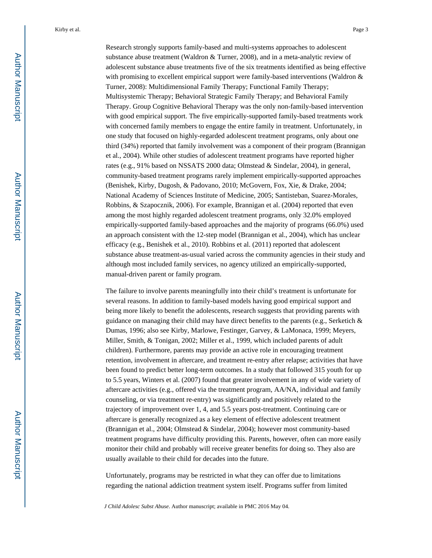Research strongly supports family-based and multi-systems approaches to adolescent substance abuse treatment (Waldron & Turner, 2008), and in a meta-analytic review of adolescent substance abuse treatments five of the six treatments identified as being effective with promising to excellent empirical support were family-based interventions (Waldron & Turner, 2008): Multidimensional Family Therapy; Functional Family Therapy; Multisystemic Therapy; Behavioral Strategic Family Therapy; and Behavioral Family Therapy. Group Cognitive Behavioral Therapy was the only non-family-based intervention with good empirical support. The five empirically-supported family-based treatments work with concerned family members to engage the entire family in treatment. Unfortunately, in one study that focused on highly-regarded adolescent treatment programs, only about one third (34%) reported that family involvement was a component of their program (Brannigan et al., 2004). While other studies of adolescent treatment programs have reported higher rates (e.g., 91% based on NSSATS 2000 data; Olmstead & Sindelar, 2004), in general, community-based treatment programs rarely implement empirically-supported approaches (Benishek, Kirby, Dugosh, & Padovano, 2010; McGovern, Fox, Xie, & Drake, 2004; National Academy of Sciences Institute of Medicine, 2005; Santisteban, Suarez-Morales, Robbins, & Szapocznik, 2006). For example, Brannigan et al. (2004) reported that even among the most highly regarded adolescent treatment programs, only 32.0% employed empirically-supported family-based approaches and the majority of programs (66.0%) used an approach consistent with the 12-step model (Brannigan et al., 2004), which has unclear efficacy (e.g., Benishek et al., 2010). Robbins et al. (2011) reported that adolescent substance abuse treatment-as-usual varied across the community agencies in their study and although most included family services, no agency utilized an empirically-supported, manual-driven parent or family program.

The failure to involve parents meaningfully into their child's treatment is unfortunate for several reasons. In addition to family-based models having good empirical support and being more likely to benefit the adolescents, research suggests that providing parents with guidance on managing their child may have direct benefits to the parents (e.g., Serketich  $\&$ Dumas, 1996; also see Kirby, Marlowe, Festinger, Garvey, & LaMonaca, 1999; Meyers, Miller, Smith, & Tonigan, 2002; Miller et al., 1999, which included parents of adult children). Furthermore, parents may provide an active role in encouraging treatment retention, involvement in aftercare, and treatment re-entry after relapse; activities that have been found to predict better long-term outcomes. In a study that followed 315 youth for up to 5.5 years, Winters et al. (2007) found that greater involvement in any of wide variety of aftercare activities (e.g., offered via the treatment program, AA/NA, individual and family counseling, or via treatment re-entry) was significantly and positively related to the trajectory of improvement over 1, 4, and 5.5 years post-treatment. Continuing care or aftercare is generally recognized as a key element of effective adolescent treatment (Brannigan et al., 2004; Olmstead & Sindelar, 2004); however most community-based treatment programs have difficulty providing this. Parents, however, often can more easily monitor their child and probably will receive greater benefits for doing so. They also are usually available to their child for decades into the future.

Unfortunately, programs may be restricted in what they can offer due to limitations regarding the national addiction treatment system itself. Programs suffer from limited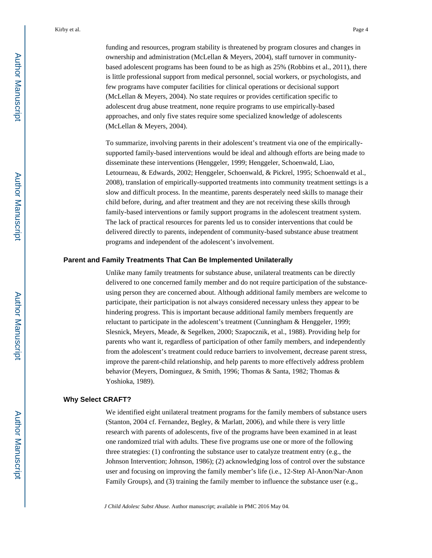funding and resources, program stability is threatened by program closures and changes in ownership and administration (McLellan & Meyers, 2004), staff turnover in communitybased adolescent programs has been found to be as high as 25% (Robbins et al., 2011), there is little professional support from medical personnel, social workers, or psychologists, and few programs have computer facilities for clinical operations or decisional support (McLellan & Meyers, 2004). No state requires or provides certification specific to adolescent drug abuse treatment, none require programs to use empirically-based approaches, and only five states require some specialized knowledge of adolescents (McLellan & Meyers, 2004).

To summarize, involving parents in their adolescent's treatment via one of the empiricallysupported family-based interventions would be ideal and although efforts are being made to disseminate these interventions (Henggeler, 1999; Henggeler, Schoenwald, Liao, Letourneau, & Edwards, 2002; Henggeler, Schoenwald, & Pickrel, 1995; Schoenwald et al., 2008), translation of empirically-supported treatments into community treatment settings is a slow and difficult process. In the meantime, parents desperately need skills to manage their child before, during, and after treatment and they are not receiving these skills through family-based interventions or family support programs in the adolescent treatment system. The lack of practical resources for parents led us to consider interventions that could be delivered directly to parents, independent of community-based substance abuse treatment programs and independent of the adolescent's involvement.

#### **Parent and Family Treatments That Can Be Implemented Unilaterally**

Unlike many family treatments for substance abuse, unilateral treatments can be directly delivered to one concerned family member and do not require participation of the substanceusing person they are concerned about. Although additional family members are welcome to participate, their participation is not always considered necessary unless they appear to be hindering progress. This is important because additional family members frequently are reluctant to participate in the adolescent's treatment (Cunningham & Henggeler, 1999; Slesnick, Meyers, Meade, & Segelken, 2000; Szapocznik, et al., 1988). Providing help for parents who want it, regardless of participation of other family members, and independently from the adolescent's treatment could reduce barriers to involvement, decrease parent stress, improve the parent-child relationship, and help parents to more effectively address problem behavior (Meyers, Dominguez, & Smith, 1996; Thomas & Santa, 1982; Thomas & Yoshioka, 1989).

#### **Why Select CRAFT?**

We identified eight unilateral treatment programs for the family members of substance users (Stanton, 2004 cf. Fernandez, Begley, & Marlatt, 2006), and while there is very little research with parents of adolescents, five of the programs have been examined in at least one randomized trial with adults. These five programs use one or more of the following three strategies: (1) confronting the substance user to catalyze treatment entry (e.g., the Johnson Intervention; Johnson, 1986); (2) acknowledging loss of control over the substance user and focusing on improving the family member's life (i.e., 12-Step Al-Anon/Nar-Anon Family Groups), and (3) training the family member to influence the substance user (e.g.,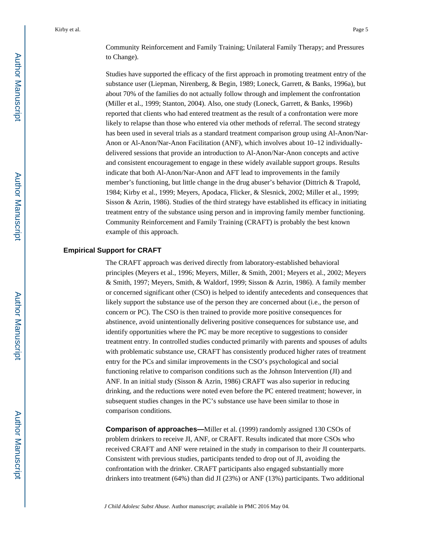Community Reinforcement and Family Training; Unilateral Family Therapy; and Pressures to Change).

Studies have supported the efficacy of the first approach in promoting treatment entry of the substance user (Liepman, Nirenberg, & Begin, 1989; Loneck, Garrett, & Banks, 1996a), but about 70% of the families do not actually follow through and implement the confrontation (Miller et al., 1999; Stanton, 2004). Also, one study (Loneck, Garrett, & Banks, 1996b) reported that clients who had entered treatment as the result of a confrontation were more likely to relapse than those who entered via other methods of referral. The second strategy has been used in several trials as a standard treatment comparison group using Al-Anon/Nar-Anon or Al-Anon/Nar-Anon Facilitation (ANF), which involves about 10–12 individuallydelivered sessions that provide an introduction to Al-Anon/Nar-Anon concepts and active and consistent encouragement to engage in these widely available support groups. Results indicate that both Al-Anon/Nar-Anon and AFT lead to improvements in the family member's functioning, but little change in the drug abuser's behavior (Dittrich & Trapold, 1984; Kirby et al., 1999; Meyers, Apodaca, Flicker, & Slesnick, 2002; Miller et al., 1999; Sisson & Azrin, 1986). Studies of the third strategy have established its efficacy in initiating treatment entry of the substance using person and in improving family member functioning. Community Reinforcement and Family Training (CRAFT) is probably the best known example of this approach.

#### **Empirical Support for CRAFT**

The CRAFT approach was derived directly from laboratory-established behavioral principles (Meyers et al., 1996; Meyers, Miller, & Smith, 2001; Meyers et al., 2002; Meyers & Smith, 1997; Meyers, Smith, & Waldorf, 1999; Sisson & Azrin, 1986). A family member or concerned significant other (CSO) is helped to identify antecedents and consequences that likely support the substance use of the person they are concerned about (i.e., the person of concern or PC). The CSO is then trained to provide more positive consequences for abstinence, avoid unintentionally delivering positive consequences for substance use, and identify opportunities where the PC may be more receptive to suggestions to consider treatment entry. In controlled studies conducted primarily with parents and spouses of adults with problematic substance use, CRAFT has consistently produced higher rates of treatment entry for the PCs and similar improvements in the CSO's psychological and social functioning relative to comparison conditions such as the Johnson Intervention (JI) and ANF. In an initial study (Sisson & Azrin, 1986) CRAFT was also superior in reducing drinking, and the reductions were noted even before the PC entered treatment; however, in subsequent studies changes in the PC's substance use have been similar to those in comparison conditions.

**Comparison of approaches—Miller et al. (1999) randomly assigned 130 CSOs of** problem drinkers to receive JI, ANF, or CRAFT. Results indicated that more CSOs who received CRAFT and ANF were retained in the study in comparison to their JI counterparts. Consistent with previous studies, participants tended to drop out of JI, avoiding the confrontation with the drinker. CRAFT participants also engaged substantially more drinkers into treatment (64%) than did JI (23%) or ANF (13%) participants. Two additional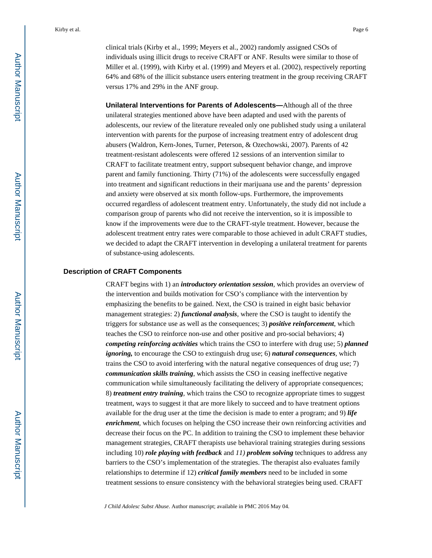**Unilateral Interventions for Parents of Adolescents—**Although all of the three unilateral strategies mentioned above have been adapted and used with the parents of adolescents, our review of the literature revealed only one published study using a unilateral intervention with parents for the purpose of increasing treatment entry of adolescent drug abusers (Waldron, Kern-Jones, Turner, Peterson, & Ozechowski, 2007). Parents of 42 treatment-resistant adolescents were offered 12 sessions of an intervention similar to CRAFT to facilitate treatment entry, support subsequent behavior change, and improve parent and family functioning. Thirty (71%) of the adolescents were successfully engaged into treatment and significant reductions in their marijuana use and the parents' depression and anxiety were observed at six month follow-ups. Furthermore, the improvements occurred regardless of adolescent treatment entry. Unfortunately, the study did not include a comparison group of parents who did not receive the intervention, so it is impossible to know if the improvements were due to the CRAFT-style treatment. However, because the adolescent treatment entry rates were comparable to those achieved in adult CRAFT studies, we decided to adapt the CRAFT intervention in developing a unilateral treatment for parents of substance-using adolescents.

#### **Description of CRAFT Components**

CRAFT begins with 1) an *introductory orientation session*, which provides an overview of the intervention and builds motivation for CSO's compliance with the intervention by emphasizing the benefits to be gained. Next, the CSO is trained in eight basic behavior management strategies: 2) *functional analysis*, where the CSO is taught to identify the triggers for substance use as well as the consequences; 3) *positive reinforcement*, which teaches the CSO to reinforce non-use and other positive and pro-social behaviors; 4) *competing reinforcing activities* which trains the CSO to interfere with drug use; 5) *planned ignoring,* to encourage the CSO to extinguish drug use; 6) *natural consequences,* which trains the CSO to avoid interfering with the natural negative consequences of drug use; 7) *communication skills training*, which assists the CSO in ceasing ineffective negative communication while simultaneously facilitating the delivery of appropriate consequences; 8) *treatment entry training*, which trains the CSO to recognize appropriate times to suggest treatment, ways to suggest it that are more likely to succeed and to have treatment options available for the drug user at the time the decision is made to enter a program; and 9) *life enrichment*, which focuses on helping the CSO increase their own reinforcing activities and decrease their focus on the PC. In addition to training the CSO to implement these behavior management strategies, CRAFT therapists use behavioral training strategies during sessions including 10) *role playing with feedback* and *11) problem solving* techniques to address any barriers to the CSO's implementation of the strategies. The therapist also evaluates family relationships to determine if 12) *critical family members* need to be included in some treatment sessions to ensure consistency with the behavioral strategies being used. CRAFT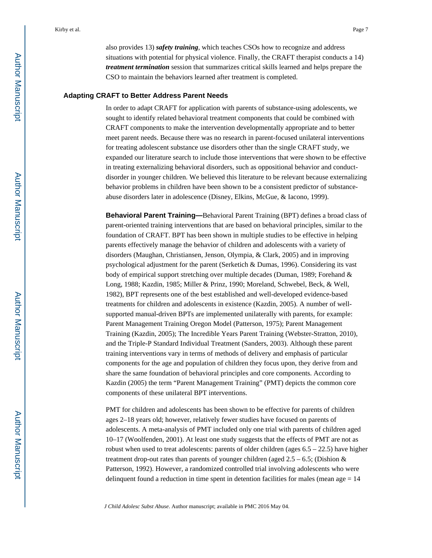also provides 13) *safety training*, which teaches CSOs how to recognize and address situations with potential for physical violence. Finally, the CRAFT therapist conducts a 14) *treatment termination* session that summarizes critical skills learned and helps prepare the CSO to maintain the behaviors learned after treatment is completed.

#### **Adapting CRAFT to Better Address Parent Needs**

In order to adapt CRAFT for application with parents of substance-using adolescents, we sought to identify related behavioral treatment components that could be combined with CRAFT components to make the intervention developmentally appropriate and to better meet parent needs. Because there was no research in parent-focused unilateral interventions for treating adolescent substance use disorders other than the single CRAFT study, we expanded our literature search to include those interventions that were shown to be effective in treating externalizing behavioral disorders, such as oppositional behavior and conductdisorder in younger children. We believed this literature to be relevant because externalizing behavior problems in children have been shown to be a consistent predictor of substanceabuse disorders later in adolescence (Disney, Elkins, McGue, & Iacono, 1999).

**Behavioral Parent Training—**Behavioral Parent Training (BPT) defines a broad class of parent-oriented training interventions that are based on behavioral principles, similar to the foundation of CRAFT. BPT has been shown in multiple studies to be effective in helping parents effectively manage the behavior of children and adolescents with a variety of disorders (Maughan, Christiansen, Jenson, Olympia, & Clark, 2005) and in improving psychological adjustment for the parent (Serketich & Dumas, 1996). Considering its vast body of empirical support stretching over multiple decades (Duman, 1989; Forehand & Long, 1988; Kazdin, 1985; Miller & Prinz, 1990; Moreland, Schwebel, Beck, & Well, 1982), BPT represents one of the best established and well-developed evidence-based treatments for children and adolescents in existence (Kazdin, 2005). A number of wellsupported manual-driven BPTs are implemented unilaterally with parents, for example: Parent Management Training Oregon Model (Patterson, 1975); Parent Management Training (Kazdin, 2005); The Incredible Years Parent Training (Webster-Stratton, 2010), and the Triple-P Standard Individual Treatment (Sanders, 2003). Although these parent training interventions vary in terms of methods of delivery and emphasis of particular components for the age and population of children they focus upon, they derive from and share the same foundation of behavioral principles and core components. According to Kazdin (2005) the term "Parent Management Training" (PMT) depicts the common core components of these unilateral BPT interventions.

PMT for children and adolescents has been shown to be effective for parents of children ages 2–18 years old; however, relatively fewer studies have focused on parents of adolescents. A meta-analysis of PMT included only one trial with parents of children aged 10–17 (Woolfenden, 2001). At least one study suggests that the effects of PMT are not as robust when used to treat adolescents: parents of older children (ages  $6.5 - 22.5$ ) have higher treatment drop-out rates than parents of younger children (aged  $2.5 - 6.5$ ; (Dishion & Patterson, 1992). However, a randomized controlled trial involving adolescents who were delinquent found a reduction in time spent in detention facilities for males (mean age  $= 14$ )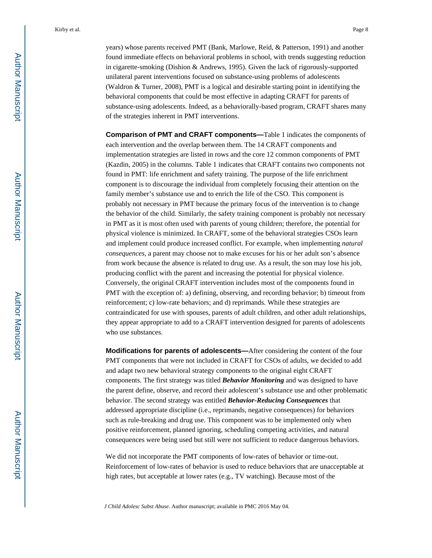years) whose parents received PMT (Bank, Marlowe, Reid, & Patterson, 1991) and another found immediate effects on behavioral problems in school, with trends suggesting reduction in cigarette-smoking (Dishion & Andrews, 1995). Given the lack of rigorously-supported unilateral parent interventions focused on substance-using problems of adolescents (Waldron & Turner, 2008), PMT is a logical and desirable starting point in identifying the behavioral components that could be most effective in adapting CRAFT for parents of substance-using adolescents. Indeed, as a behaviorally-based program, CRAFT shares many of the strategies inherent in PMT interventions.

**Comparison of PMT and CRAFT components—**Table 1 indicates the components of each intervention and the overlap between them. The 14 CRAFT components and implementation strategies are listed in rows and the core 12 common components of PMT (Kazdin, 2005) in the columns. Table 1 indicates that CRAFT contains two components not found in PMT: life enrichment and safety training. The purpose of the life enrichment component is to discourage the individual from completely focusing their attention on the family member's substance use and to enrich the life of the CSO. This component is probably not necessary in PMT because the primary focus of the intervention is to change the behavior of the child. Similarly, the safety training component is probably not necessary in PMT as it is most often used with parents of young children; therefore, the potential for physical violence is minimized. In CRAFT, some of the behavioral strategies CSOs learn and implement could produce increased conflict. For example, when implementing *natural consequences*, a parent may choose not to make excuses for his or her adult son's absence from work because the absence is related to drug use. As a result, the son may lose his job, producing conflict with the parent and increasing the potential for physical violence. Conversely, the original CRAFT intervention includes most of the components found in PMT with the exception of: a) defining, observing, and recording behavior; b) timeout from reinforcement; c) low-rate behaviors; and d) reprimands. While these strategies are contraindicated for use with spouses, parents of adult children, and other adult relationships, they appear appropriate to add to a CRAFT intervention designed for parents of adolescents who use substances.

**Modifications for parents of adolescents—**After considering the content of the four PMT components that were not included in CRAFT for CSOs of adults, we decided to add and adapt two new behavioral strategy components to the original eight CRAFT components. The first strategy was titled *Behavior Monitoring* and was designed to have the parent define, observe, and record their adolescent's substance use and other problematic behavior. The second strategy was entitled *Behavior-Reducing Consequences* that addressed appropriate discipline (i.e., reprimands, negative consequences) for behaviors such as rule-breaking and drug use. This component was to be implemented only when positive reinforcement, planned ignoring, scheduling competing activities, and natural consequences were being used but still were not sufficient to reduce dangerous behaviors.

We did not incorporate the PMT components of low-rates of behavior or time-out. Reinforcement of low-rates of behavior is used to reduce behaviors that are unacceptable at high rates, but acceptable at lower rates (e.g., TV watching). Because most of the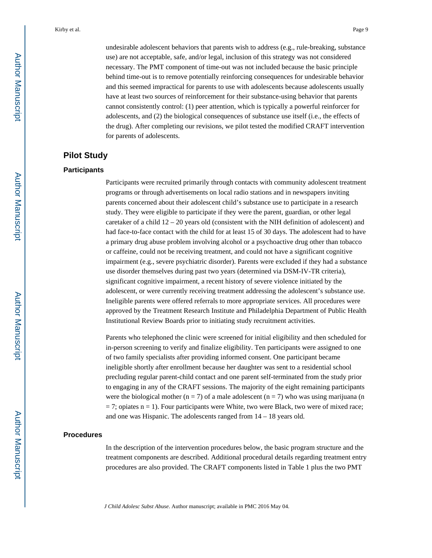undesirable adolescent behaviors that parents wish to address (e.g., rule-breaking, substance use) are not acceptable, safe, and/or legal, inclusion of this strategy was not considered necessary. The PMT component of time-out was not included because the basic principle behind time-out is to remove potentially reinforcing consequences for undesirable behavior and this seemed impractical for parents to use with adolescents because adolescents usually have at least two sources of reinforcement for their substance-using behavior that parents cannot consistently control: (1) peer attention, which is typically a powerful reinforcer for adolescents, and (2) the biological consequences of substance use itself (i.e., the effects of the drug). After completing our revisions, we pilot tested the modified CRAFT intervention for parents of adolescents.

## **Pilot Study**

#### **Participants**

Participants were recruited primarily through contacts with community adolescent treatment programs or through advertisements on local radio stations and in newspapers inviting parents concerned about their adolescent child's substance use to participate in a research study. They were eligible to participate if they were the parent, guardian, or other legal caretaker of a child  $12 - 20$  years old (consistent with the NIH definition of adolescent) and had face-to-face contact with the child for at least 15 of 30 days. The adolescent had to have a primary drug abuse problem involving alcohol or a psychoactive drug other than tobacco or caffeine, could not be receiving treatment, and could not have a significant cognitive impairment (e.g., severe psychiatric disorder). Parents were excluded if they had a substance use disorder themselves during past two years (determined via DSM-IV-TR criteria), significant cognitive impairment, a recent history of severe violence initiated by the adolescent, or were currently receiving treatment addressing the adolescent's substance use. Ineligible parents were offered referrals to more appropriate services. All procedures were approved by the Treatment Research Institute and Philadelphia Department of Public Health Institutional Review Boards prior to initiating study recruitment activities.

Parents who telephoned the clinic were screened for initial eligibility and then scheduled for in-person screening to verify and finalize eligibility. Ten participants were assigned to one of two family specialists after providing informed consent. One participant became ineligible shortly after enrollment because her daughter was sent to a residential school precluding regular parent-child contact and one parent self-terminated from the study prior to engaging in any of the CRAFT sessions. The majority of the eight remaining participants were the biological mother ( $n = 7$ ) of a male adolescent ( $n = 7$ ) who was using marijuana (n  $= 7$ ; opiates  $n = 1$ ). Four participants were White, two were Black, two were of mixed race; and one was Hispanic. The adolescents ranged from 14 – 18 years old.

#### **Procedures**

In the description of the intervention procedures below, the basic program structure and the treatment components are described. Additional procedural details regarding treatment entry procedures are also provided. The CRAFT components listed in Table 1 plus the two PMT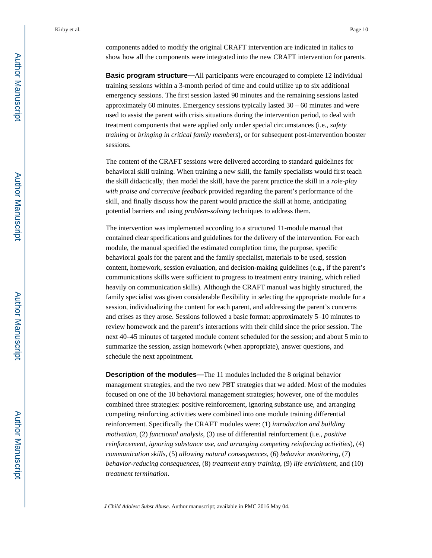components added to modify the original CRAFT intervention are indicated in italics to show how all the components were integrated into the new CRAFT intervention for parents.

**Basic program structure—All participants were encouraged to complete 12 individual** training sessions within a 3-month period of time and could utilize up to six additional emergency sessions. The first session lasted 90 minutes and the remaining sessions lasted approximately 60 minutes. Emergency sessions typically lasted  $30 - 60$  minutes and were used to assist the parent with crisis situations during the intervention period, to deal with treatment components that were applied only under special circumstances (i.e., *safety training* or *bringing in critical family members*), or for subsequent post-intervention booster sessions.

The content of the CRAFT sessions were delivered according to standard guidelines for behavioral skill training. When training a new skill, the family specialists would first teach the skill didactically, then model the skill, have the parent practice the skill in a *role-play with praise and corrective feedback* provided regarding the parent's performance of the skill, and finally discuss how the parent would practice the skill at home, anticipating potential barriers and using *problem-solving* techniques to address them.

The intervention was implemented according to a structured 11-module manual that contained clear specifications and guidelines for the delivery of the intervention. For each module, the manual specified the estimated completion time, the purpose, specific behavioral goals for the parent and the family specialist, materials to be used, session content, homework, session evaluation, and decision-making guidelines (e.g., if the parent's communications skills were sufficient to progress to treatment entry training, which relied heavily on communication skills). Although the CRAFT manual was highly structured, the family specialist was given considerable flexibility in selecting the appropriate module for a session, individualizing the content for each parent, and addressing the parent's concerns and crises as they arose. Sessions followed a basic format: approximately 5–10 minutes to review homework and the parent's interactions with their child since the prior session. The next 40–45 minutes of targeted module content scheduled for the session; and about 5 min to summarize the session, assign homework (when appropriate), answer questions, and schedule the next appointment.

**Description of the modules—**The 11 modules included the 8 original behavior management strategies, and the two new PBT strategies that we added. Most of the modules focused on one of the 10 behavioral management strategies; however, one of the modules combined three strategies: positive reinforcement, ignoring substance use, and arranging competing reinforcing activities were combined into one module training differential reinforcement. Specifically the CRAFT modules were: (1) *introduction and building motivation*, (2) *functional analysis*, (3) use of differential reinforcement (i.e., *positive reinforcement, ignoring substance use, and arranging competing reinforcing activities*), (4) *communication skills*, (5) *allowing natural consequences*, (6) *behavior monitoring*, (7) *behavior-reducing consequences*, (8) *treatment entry training*, (9) *life enrichment*, and (10) *treatment termination*.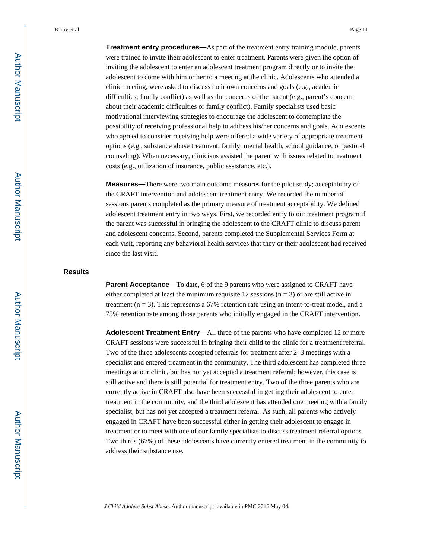**Treatment entry procedures—**As part of the treatment entry training module, parents were trained to invite their adolescent to enter treatment. Parents were given the option of inviting the adolescent to enter an adolescent treatment program directly or to invite the adolescent to come with him or her to a meeting at the clinic. Adolescents who attended a clinic meeting, were asked to discuss their own concerns and goals (e.g., academic difficulties; family conflict) as well as the concerns of the parent (e.g., parent's concern about their academic difficulties or family conflict). Family specialists used basic motivational interviewing strategies to encourage the adolescent to contemplate the possibility of receiving professional help to address his/her concerns and goals. Adolescents who agreed to consider receiving help were offered a wide variety of appropriate treatment options (e.g., substance abuse treatment; family, mental health, school guidance, or pastoral counseling). When necessary, clinicians assisted the parent with issues related to treatment costs (e.g., utilization of insurance, public assistance, etc.).

**Measures—**There were two main outcome measures for the pilot study; acceptability of the CRAFT intervention and adolescent treatment entry. We recorded the number of sessions parents completed as the primary measure of treatment acceptability. We defined adolescent treatment entry in two ways. First, we recorded entry to our treatment program if the parent was successful in bringing the adolescent to the CRAFT clinic to discuss parent and adolescent concerns. Second, parents completed the Supplemental Services Form at each visit, reporting any behavioral health services that they or their adolescent had received since the last visit.

#### **Results**

**Parent Acceptance—**To date, 6 of the 9 parents who were assigned to CRAFT have either completed at least the minimum requisite 12 sessions ( $n = 3$ ) or are still active in treatment  $(n = 3)$ . This represents a 67% retention rate using an intent-to-treat model, and a 75% retention rate among those parents who initially engaged in the CRAFT intervention.

**Adolescent Treatment Entry—**All three of the parents who have completed 12 or more CRAFT sessions were successful in bringing their child to the clinic for a treatment referral. Two of the three adolescents accepted referrals for treatment after 2–3 meetings with a specialist and entered treatment in the community. The third adolescent has completed three meetings at our clinic, but has not yet accepted a treatment referral; however, this case is still active and there is still potential for treatment entry. Two of the three parents who are currently active in CRAFT also have been successful in getting their adolescent to enter treatment in the community, and the third adolescent has attended one meeting with a family specialist, but has not yet accepted a treatment referral. As such, all parents who actively engaged in CRAFT have been successful either in getting their adolescent to engage in treatment or to meet with one of our family specialists to discuss treatment referral options. Two thirds (67%) of these adolescents have currently entered treatment in the community to address their substance use.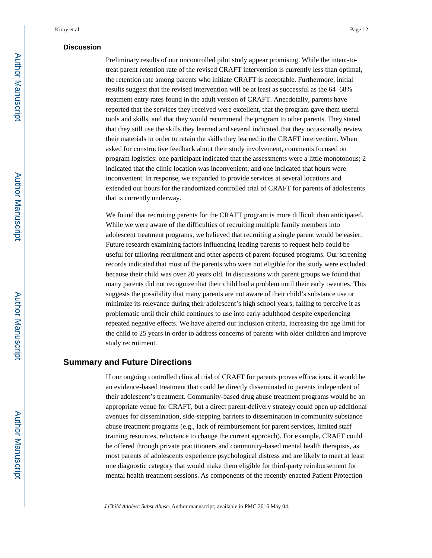#### **Discussion**

Preliminary results of our uncontrolled pilot study appear promising. While the intent-totreat parent retention rate of the revised CRAFT intervention is currently less than optimal, the retention rate among parents who initiate CRAFT is acceptable. Furthermore, initial results suggest that the revised intervention will be at least as successful as the 64–68% treatment entry rates found in the adult version of CRAFT. Anecdotally, parents have reported that the services they received were excellent, that the program gave them useful tools and skills, and that they would recommend the program to other parents. They stated that they still use the skills they learned and several indicated that they occasionally review their materials in order to retain the skills they learned in the CRAFT intervention. When asked for constructive feedback about their study involvement, comments focused on program logistics: one participant indicated that the assessments were a little monotonous; 2 indicated that the clinic location was inconvenient; and one indicated that hours were inconvenient. In response, we expanded to provide services at several locations and extended our hours for the randomized controlled trial of CRAFT for parents of adolescents that is currently underway.

We found that recruiting parents for the CRAFT program is more difficult than anticipated. While we were aware of the difficulties of recruiting multiple family members into adolescent treatment programs, we believed that recruiting a single parent would be easier. Future research examining factors influencing leading parents to request help could be useful for tailoring recruitment and other aspects of parent-focused programs. Our screening records indicated that most of the parents who were not eligible for the study were excluded because their child was over 20 years old. In discussions with parent groups we found that many parents did not recognize that their child had a problem until their early twenties. This suggests the possibility that many parents are not aware of their child's substance use or minimize its relevance during their adolescent's high school years, failing to perceive it as problematic until their child continues to use into early adulthood despite experiencing repeated negative effects. We have altered our inclusion criteria, increasing the age limit for the child to 25 years in order to address concerns of parents with older children and improve study recruitment.

## **Summary and Future Directions**

If our ongoing controlled clinical trial of CRAFT for parents proves efficacious, it would be an evidence-based treatment that could be directly disseminated to parents independent of their adolescent's treatment. Community-based drug abuse treatment programs would be an appropriate venue for CRAFT, but a direct parent-delivery strategy could open up additional avenues for dissemination, side-stepping barriers to dissemination in community substance abuse treatment programs (e.g., lack of reimbursement for parent services, limited staff training resources, reluctance to change the current approach). For example, CRAFT could be offered through private practitioners and community-based mental health therapists, as most parents of adolescents experience psychological distress and are likely to meet at least one diagnostic category that would make them eligible for third-party reimbursement for mental health treatment sessions. As components of the recently enacted Patient Protection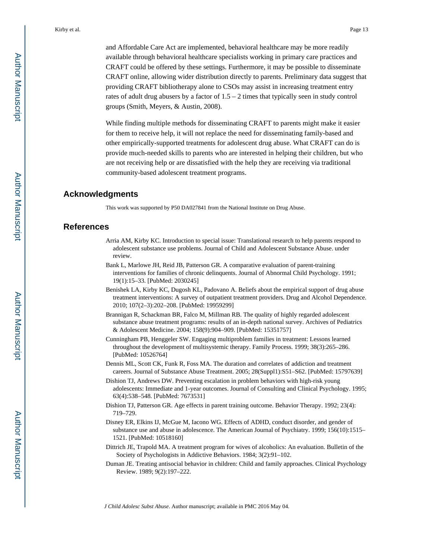and Affordable Care Act are implemented, behavioral healthcare may be more readily available through behavioral healthcare specialists working in primary care practices and CRAFT could be offered by these settings. Furthermore, it may be possible to disseminate CRAFT online, allowing wider distribution directly to parents. Preliminary data suggest that providing CRAFT bibliotherapy alone to CSOs may assist in increasing treatment entry rates of adult drug abusers by a factor of 1.5 – 2 times that typically seen in study control groups (Smith, Meyers, & Austin, 2008).

While finding multiple methods for disseminating CRAFT to parents might make it easier for them to receive help, it will not replace the need for disseminating family-based and other empirically-supported treatments for adolescent drug abuse. What CRAFT can do is provide much-needed skills to parents who are interested in helping their children, but who are not receiving help or are dissatisfied with the help they are receiving via traditional community-based adolescent treatment programs.

#### **Acknowledgments**

This work was supported by P50 DA027841 from the National Institute on Drug Abuse.

#### **References**

- Arria AM, Kirby KC. Introduction to special issue: Translational research to help parents respond to adolescent substance use problems. Journal of Child and Adolescent Substance Abuse. under review.
- Bank L, Marlowe JH, Reid JB, Patterson GR. A comparative evaluation of parent-training interventions for families of chronic delinquents. Journal of Abnormal Child Psychology. 1991; 19(1):15–33. [PubMed: 2030245]
- Benishek LA, Kirby KC, Dugosh KL, Padovano A. Beliefs about the empirical support of drug abuse treatment interventions: A survey of outpatient treatment providers. Drug and Alcohol Dependence. 2010; 107(2–3):202–208. [PubMed: 19959299]
- Brannigan R, Schackman BR, Falco M, Millman RB. The quality of highly regarded adolescent substance abuse treatment programs: results of an in-depth national survey. Archives of Pediatrics & Adolescent Medicine. 2004; 158(9):904–909. [PubMed: 15351757]
- Cunningham PB, Henggeler SW. Engaging multiproblem families in treatment: Lessons learned throughout the development of multisystemic therapy. Family Process. 1999; 38(3):265–286. [PubMed: 10526764]
- Dennis ML, Scott CK, Funk R, Foss MA. The duration and correlates of addiction and treatment careers. Journal of Substance Abuse Treatment. 2005; 28(Suppl1):S51–S62. [PubMed: 15797639]
- Dishion TJ, Andrews DW. Preventing escalation in problem behaviors with high-risk young adolescents: Immediate and 1-year outcomes. Journal of Consulting and Clinical Psychology. 1995; 63(4):538–548. [PubMed: 7673531]
- Dishion TJ, Patterson GR. Age effects in parent training outcome. Behavior Therapy. 1992; 23(4): 719–729.
- Disney ER, Elkins IJ, McGue M, Iacono WG. Effects of ADHD, conduct disorder, and gender of substance use and abuse in adolescence. The American Journal of Psychiatry. 1999; 156(10):1515– 1521. [PubMed: 10518160]
- Dittrich JE, Trapold MA. A treatment program for wives of alcoholics: An evaluation. Bulletin of the Society of Psychologists in Addictive Behaviors. 1984; 3(2):91–102.
- Duman JE. Treating antisocial behavior in children: Child and family approaches. Clinical Psychology Review. 1989; 9(2):197–222.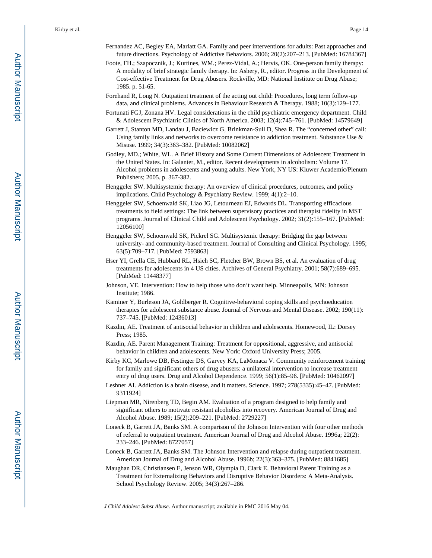- Fernandez AC, Begley EA, Marlatt GA. Family and peer interventions for adults: Past approaches and future directions. Psychology of Addictive Behaviors. 2006; 20(2):207–213. [PubMed: 16784367]
- Foote, FH.; Szapocznik, J.; Kurtines, WM.; Perez-Vidal, A.; Hervis, OK. One-person family therapy: A modality of brief strategic family therapy. In: Ashery, R., editor. Progress in the Development of Cost-effective Treatment for Drug Abusers. Rockville, MD: National Institute on Drug Abuse; 1985. p. 51-65.
- Forehand R, Long N. Outpatient treatment of the acting out child: Procedures, long term follow-up data, and clinical problems. Advances in Behaviour Research & Therapy. 1988; 10(3):129–177.
- Fortunati FGJ, Zonana HV. Legal considerations in the child psychiatric emergency department. Child & Adolescent Psychiatric Clinics of North America. 2003; 12(4):745–761. [PubMed: 14579649]
- Garrett J, Stanton MD, Landau J, Baciewicz G, Brinkman-Sull D, Shea R. The "concerned other" call: Using family links and networks to overcome resistance to addiction treatment. Substance Use & Misuse. 1999; 34(3):363–382. [PubMed: 10082062]
- Godley, MD.; White, WL. A Brief History and Some Current Dimensions of Adolescent Treatment in the United States. In: Galanter, M., editor. Recent developments in alcoholism: Volume 17. Alcohol problems in adolescents and young adults. New York, NY US: Kluwer Academic/Plenum Publishers; 2005. p. 367-382.
- Henggeler SW. Multisystemic therapy: An overview of clinical procedures, outcomes, and policy implications. Child Psychology & Psychiatry Review. 1999; 4(1):2–10.
- Henggeler SW, Schoenwald SK, Liao JG, Letourneau EJ, Edwards DL. Transporting efficacious treatments to field settings: The link between supervisory practices and therapist fidelity in MST programs. Journal of Clinical Child and Adolescent Psychology. 2002; 31(2):155–167. [PubMed: 12056100]
- Henggeler SW, Schoenwald SK, Pickrel SG. Multisystemic therapy: Bridging the gap between university- and community-based treatment. Journal of Consulting and Clinical Psychology. 1995; 63(5):709–717. [PubMed: 7593863]
- Hser YI, Grella CE, Hubbard RL, Hsieh SC, Fletcher BW, Brown BS, et al. An evaluation of drug treatments for adolescents in 4 US cities. Archives of General Psychiatry. 2001; 58(7):689–695. [PubMed: 11448377]
- Johnson, VE. Intervention: How to help those who don't want help. Minneapolis, MN: Johnson Institute; 1986.
- Kaminer Y, Burleson JA, Goldberger R. Cognitive-behavioral coping skills and psychoeducation therapies for adolescent substance abuse. Journal of Nervous and Mental Disease. 2002; 190(11): 737–745. [PubMed: 12436013]
- Kazdin, AE. Treatment of antisocial behavior in children and adolescents. Homewood, IL: Dorsey Press; 1985.
- Kazdin, AE. Parent Management Training: Treatment for oppositional, aggressive, and antisocial behavior in children and adolescents. New York: Oxford University Press; 2005.
- Kirby KC, Marlowe DB, Festinger DS, Garvey KA, LaMonaca V. Community reinforcement training for family and significant others of drug abusers: a unilateral intervention to increase treatment entry of drug users. Drug and Alcohol Dependence. 1999; 56(1):85–96. [PubMed: 10462097]
- Leshner AI. Addiction is a brain disease, and it matters. Science. 1997; 278(5335):45–47. [PubMed: 9311924]
- Liepman MR, Nirenberg TD, Begin AM. Evaluation of a program designed to help family and significant others to motivate resistant alcoholics into recovery. American Journal of Drug and Alcohol Abuse. 1989; 15(2):209–221. [PubMed: 2729227]
- Loneck B, Garrett JA, Banks SM. A comparison of the Johnson Intervention with four other methods of referral to outpatient treatment. American Journal of Drug and Alcohol Abuse. 1996a; 22(2): 233–246. [PubMed: 8727057]
- Loneck B, Garrett JA, Banks SM. The Johnson Intervention and relapse during outpatient treatment. American Journal of Drug and Alcohol Abuse. 1996b; 22(3):363–375. [PubMed: 8841685]
- Maughan DR, Christiansen E, Jenson WR, Olympia D, Clark E. Behavioral Parent Training as a Treatment for Externalizing Behaviors and Disruptive Behavior Disorders: A Meta-Analysis. School Psychology Review. 2005; 34(3):267–286.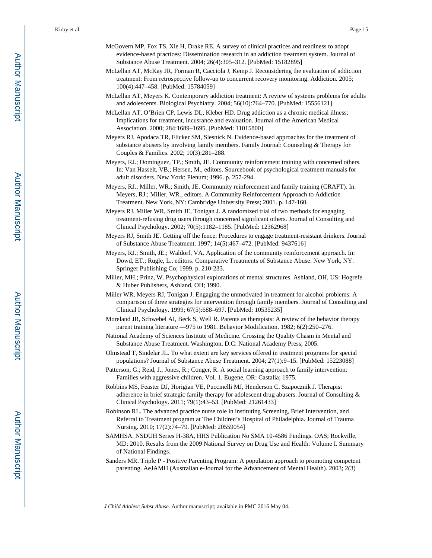- McGovern MP, Fox TS, Xie H, Drake RE. A survey of clinical practices and readiness to adopt evidence-based practices: Dissemination research in an addiction treatment system. Journal of Substance Abuse Treatment. 2004; 26(4):305–312. [PubMed: 15182895]
- McLellan AT, McKay JR, Forman R, Cacciola J, Kemp J. Reconsidering the evaluation of addiction treatment: From retrospective follow-up to concurrent recovery monitoring. Addiction. 2005; 100(4):447–458. [PubMed: 15784059]
- McLellan AT, Meyers K. Contemporary addiction treatment: A review of systems problems for adults and adolescents. Biological Psychiatry. 2004; 56(10):764–770. [PubMed: 15556121]
- McLellan AT, O'Brien CP, Lewis DL, Kleber HD. Drug addiction as a chronic medical illness: Implications for treatment, incusrance and evaluation. Journal of the American Medical Association. 2000; 284:1689–1695. [PubMed: 11015800]
- Meyers RJ, Apodaca TR, Flicker SM, Slesnick N. Evidence-based approaches for the treatment of substance abusers by involving family members. Family Journal: Counseling & Therapy for Couples & Families. 2002; 10(3):281–288.
- Meyers, RJ.; Dominguez, TP.; Smith, JE. Community reinforcement training with concerned others. In: Van Hasselt, VB.; Hersen, M., editors. Sourcebook of psychological treatment manuals for adult disorders. New York: Plenum; 1996. p. 257-294.
- Meyers, RJ.; Miller, WR.; Smith, JE. Community reinforcement and family training (CRAFT). In: Meyers, RJ.; Miller, WR., editors. A Community Reinforcement Approach to Addiction Treatment. New York, NY: Cambridge University Press; 2001. p. 147-160.
- Meyers RJ, Miller WR, Smith JE, Tonigan J. A randomized trial of two methods for engaging treatment-refusing drug users through concerned significant others. Journal of Consulting and Clinical Psychology. 2002; 70(5):1182–1185. [PubMed: 12362968]
- Meyers RJ, Smith JE. Getting off the fence: Procedures to engage treatment-resistant drinkers. Journal of Substance Abuse Treatment. 1997; 14(5):467–472. [PubMed: 9437616]
- Meyers, RJ.; Smith, JE.; Waldorf, VA. Application of the community reinforcement approach. In: Dowd, ET.; Rugle, L., editors. Comparative Treatments of Substance Abuse. New York, NY: Springer Publishing Co; 1999. p. 210-233.
- Miller, MH.; Prinz, W. Psychophysical explorations of mental structures. Ashland, OH, US: Hogrefe & Huber Publishers, Ashland, OH; 1990.
- Miller WR, Meyers RJ, Tonigan J. Engaging the unmotivated in treatment for alcohol problems: A comparison of three strategies for intervention through family members. Journal of Consulting and Clinical Psychology. 1999; 67(5):688–697. [PubMed: 10535235]
- Moreland JR, Schwebel AI, Beck S, Well R. Parents as therapists: A review of the behavior therapy parent training literature —975 to 1981. Behavior Modification. 1982; 6(2):250–276.
- National Academy of Sciences Institute of Medicine. Crossing the Quality Chasm in Mental and Substance Abuse Treatment. Washington, D.C: National Academy Press; 2005.
- Olmstead T, Sindelar JL. To what extent are key services offered in treatment programs for special populations? Journal of Substance Abuse Treatment. 2004; 27(1):9–15. [PubMed: 15223088]
- Patterson, G.; Reid, J.; Jones, R.; Conger, R. A social learning approach to family intervention: Families with aggressive children. Vol. 1. Eugene, OR: Castalia; 1975.
- Robbins MS, Feaster DJ, Horigian VE, Puccinelli MJ, Henderson C, Szapocznik J. Therapist adherence in brief strategic family therapy for adolescent drug abusers. Journal of Consulting & Clinical Psychology. 2011; 79(1):43–53. [PubMed: 21261433]
- Robinson RL. The advanced practice nurse role in instituting Screening, Brief Intervention, and Referral to Treatment program at The Children's Hospital of Philadelphia. Journal of Trauma Nursing. 2010; 17(2):74–79. [PubMed: 20559054]
- SAMHSA. NSDUH Series H-38A, HHS Publication No SMA 10-4586 Findings. OAS; Rockville, MD: 2010. Results from the 2009 National Survey on Drug Use and Health: Volume I. Summary of National Findings.
- Sanders MR. Triple P Positive Parenting Program: A population approach to promoting competent parenting. AeJAMH (Australian e-Journal for the Advancement of Mental Health). 2003; 2(3)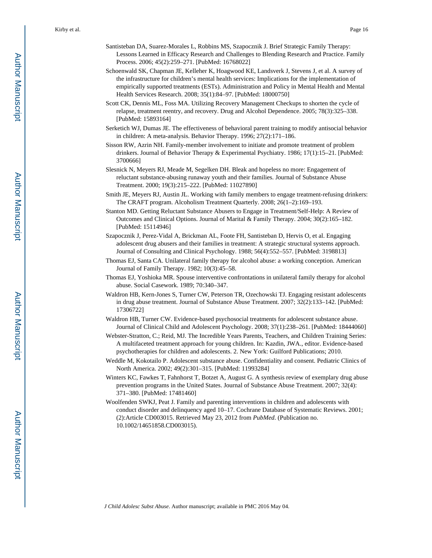- Santisteban DA, Suarez-Morales L, Robbins MS, Szapocznik J. Brief Strategic Family Therapy: Lessons Learned in Efficacy Research and Challenges to Blending Research and Practice. Family Process. 2006; 45(2):259–271. [PubMed: 16768022]
- Schoenwald SK, Chapman JE, Kelleher K, Hoagwood KE, Landsverk J, Stevens J, et al. A survey of the infrastructure for children's mental health services: Implications for the implementation of empirically supported treatments (ESTs). Administration and Policy in Mental Health and Mental Health Services Research. 2008; 35(1):84–97. [PubMed: 18000750]
- Scott CK, Dennis ML, Foss MA. Utilizing Recovery Management Checkups to shorten the cycle of relapse, treatment reentry, and recovery. Drug and Alcohol Dependence. 2005; 78(3):325–338. [PubMed: 15893164]
- Serketich WJ, Dumas JE. The effectiveness of behavioral parent training to modify antisocial behavior in children: A meta-analysis. Behavior Therapy. 1996; 27(2):171–186.
- Sisson RW, Azrin NH. Family-member involvement to initiate and promote treatment of problem drinkers. Journal of Behavior Therapy & Experimental Psychiatry. 1986; 17(1):15–21. [PubMed: 3700666]
- Slesnick N, Meyers RJ, Meade M, Segelken DH. Bleak and hopeless no more: Engagement of reluctant substance-abusing runaway youth and their families. Journal of Substance Abuse Treatment. 2000; 19(3):215–222. [PubMed: 11027890]
- Smith JE, Meyers RJ, Austin JL. Working with family members to engage treatment-refusing drinkers: The CRAFT program. Alcoholism Treatment Quarterly. 2008; 26(1–2):169–193.
- Stanton MD. Getting Reluctant Substance Abusers to Engage in Treatment/Self-Help: A Review of Outcomes and Clinical Options. Journal of Marital & Family Therapy. 2004; 30(2):165–182. [PubMed: 15114946]
- Szapocznik J, Perez-Vidal A, Brickman AL, Foote FH, Santisteban D, Hervis O, et al. Engaging adolescent drug abusers and their families in treatment: A strategic structural systems approach. Journal of Consulting and Clinical Psychology. 1988; 56(4):552–557. [PubMed: 3198813]
- Thomas EJ, Santa CA. Unilateral family therapy for alcohol abuse: a working conception. American Journal of Family Therapy. 1982; 10(3):45–58.
- Thomas EJ, Yoshioka MR. Spouse interventive confrontations in unilateral family therapy for alcohol abuse. Social Casework. 1989; 70:340–347.
- Waldron HB, Kern-Jones S, Turner CW, Peterson TR, Ozechowski TJ. Engaging resistant adolescents in drug abuse treatment. Journal of Substance Abuse Treatment. 2007; 32(2):133–142. [PubMed: 17306722]
- Waldron HB, Turner CW. Evidence-based psychosocial treatments for adolescent substance abuse. Journal of Clinical Child and Adolescent Psychology. 2008; 37(1):238–261. [PubMed: 18444060]
- Webster-Stratton, C.; Reid, MJ. The Incredible Years Parents, Teachers, and Children Training Series: A multifaceted treatment approach for young children. In: Kazdin, JWA., editor. Evidence-based psychotherapies for children and adolescents. 2. New York: Guilford Publications; 2010.
- Weddle M, Kokotailo P. Adolescent substance abuse. Confidentiality and consent. Pediatric Clinics of North America. 2002; 49(2):301–315. [PubMed: 11993284]
- Winters KC, Fawkes T, Fahnhorst T, Botzet A, August G. A synthesis review of exemplary drug abuse prevention programs in the United States. Journal of Substance Abuse Treatment. 2007; 32(4): 371–380. [PubMed: 17481460]
- Woolfenden SWKJ, Peat J. Family and parenting interventions in children and adolescents with conduct disorder and delinquency aged 10–17. Cochrane Database of Systematic Reviews. 2001; (2):Article CD003015. Retrieved May 23, 2012 from *PubMed*. (Publication no. 10.1002/14651858.CD003015).